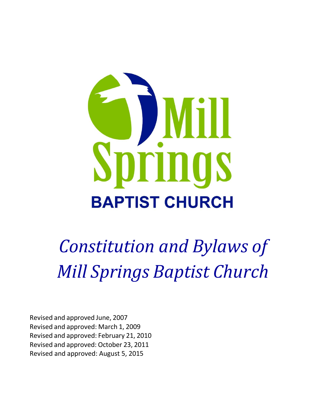

*Constitution and Bylaws of Mill Springs Baptist Church*

Revised and approved June, 2007 Revised and approved: March 1, 2009 Revised and approved: February 21, 2010 Revised and approved: October 23, 2011 Revised and approved: August 5, 2015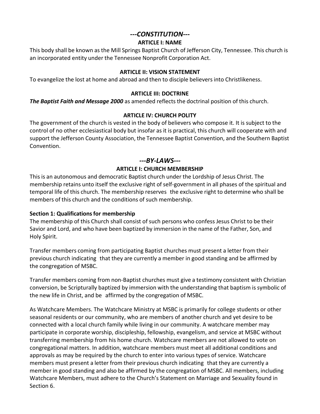# *---CONSTITUTION---*

### **ARTICLE I: NAME**

This body shall be known as the Mill Springs Baptist Church of Jefferson City, Tennessee. This church is an incorporated entity under the Tennessee Nonprofit Corporation Act.

#### **ARTICLE II: VISION STATEMENT**

To evangelize the lost at home and abroad and then to disciple believersinto Christlikeness.

### **ARTICLE III: DOCTRINE**

*The Baptist Faith and Message 2000* as amended reflects the doctrinal position of this church.

## **ARTICLE IV: CHURCH POLITY**

The government of the church is vested in the body of believers who compose it. It is subject to the control of no other ecclesiastical body but insofar as it is practical, this church will cooperate with and support the Jefferson County Association, the Tennessee Baptist Convention, and the Southern Baptist Convention.

## *---BY-LAWS---*

### **ARTICLE I: CHURCH MEMBERSHIP**

This is an autonomous and democratic Baptist church under the Lordship of Jesus Christ. The membership retains unto itself the exclusive right of self-government in all phases of the spiritual and temporal life of this church. The membership reserves the exclusive right to determine who shall be members of this church and the conditions of such membership.

## **Section 1: Qualifications for membership**

The membership of this Church shall consist of such persons who confess Jesus Christ to be their Savior and Lord, and who have been baptized by immersion in the name of the Father, Son, and Holy Spirit.

Transfer members coming from participating Baptist churches must present a letter from their previous church indicating that they are currently a member in good standing and be affirmed by the congregation of MSBC.

Transfer members coming from non-Baptist churches must give a testimony consistent with Christian conversion, be Scripturally baptized by immersion with the understanding that baptism is symbolic of the new life in Christ, and be affirmed by the congregation of MSBC.

As Watchcare Members. The Watchcare Ministry at MSBC is primarily for college students or other seasonal residents or our community, who are members of another church and yet desire to be connected with a local church family while living in our community. A watchcare member may participate in corporate worship, discipleship, fellowship, evangelism, and service at MSBC without transferring membership from his home church. Watchcare members are not allowed to vote on congregational matters. In addition, watchcare members must meet all additional conditions and approvals as may be required by the church to enter into various types of service. Watchcare members must present a letter from their previous church indicating that they are currently a member in good standing and also be affirmed by the congregation of MSBC. All members, including Watchcare Members, must adhere to the Church's Statement on Marriage and Sexuality found in Section 6.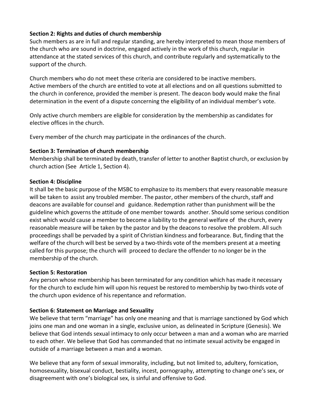## **Section 2: Rights and duties of church membership**

Such members as are in full and regular standing, are hereby interpreted to mean those members of the church who are sound in doctrine, engaged actively in the work of this church, regular in attendance at the stated services of this church, and contribute regularly and systematically to the support of the church.

Church members who do not meet these criteria are considered to be inactive members. Active members of the church are entitled to vote at all elections and on all questions submitted to the church in conference, provided the member is present. The deacon body would make the final determination in the event of a dispute concerning the eligibility of an individual member's vote.

Only active church members are eligible for consideration by the membership as candidates for elective offices in the church.

Every member of the church may participate in the ordinances of the church.

## **Section 3: Termination of church membership**

Membership shall be terminated by death, transfer of letter to another Baptist church, or exclusion by church action (See Article 1, Section 4).

# **Section 4: Discipline**

It shall be the basic purpose of the MSBC to emphasize to its members that every reasonable measure will be taken to assist any troubled member. The pastor, other members of the church, staff and deacons are available for counsel and guidance. Redemption rather than punishment will be the guideline which governsthe attitude of one member towards another. Should some serious condition exist which would cause a member to become a liability to the general welfare of the church, every reasonable measure will be taken by the pastor and by the deacons to resolve the problem. All such proceedings shall be pervaded by a spirit of Christian kindness and forbearance. But, finding that the welfare of the church will best be served by a two-thirds vote of the members present at a meeting called for this purpose; the church will proceed to declare the offender to no longer be in the membership of the church.

## **Section 5: Restoration**

Any person whose membership has been terminated for any condition which has made it necessary for the church to exclude him will upon his request be restored to membership by two-thirds vote of the church upon evidence of his repentance and reformation.

# **Section 6: Statement on Marriage and Sexuality**

We believe that term "marriage" has only one meaning and that is marriage sanctioned by God which joins one man and one woman in a single, exclusive union, as delineated in Scripture (Genesis). We believe that God intends sexual intimacy to only occur between a man and a woman who are married to each other. We believe that God has commanded that no intimate sexual activity be engaged in outside of a marriage between a man and a woman.

We believe that any form of sexual immorality, including, but not limited to, adultery, fornication, homosexuality, bisexual conduct, bestiality, incest, pornography, attempting to change one's sex, or disagreement with one's biological sex, is sinful and offensive to God.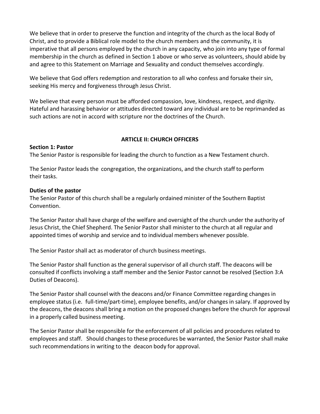We believe that in order to preserve the function and integrity of the church as the local Body of Christ, and to provide a Biblical role model to the church members and the community, it is imperative that all persons employed by the church in any capacity, who join into any type of formal membership in the church as defined in Section 1 above or who serve as volunteers, should abide by and agree to this Statement on Marriage and Sexuality and conduct themselves accordingly.

We believe that God offers redemption and restoration to all who confess and forsake their sin, seeking His mercy and forgiveness through Jesus Christ.

We believe that every person must be afforded compassion, love, kindness, respect, and dignity. Hateful and harassing behavior or attitudes directed toward any individual are to be reprimanded as such actions are not in accord with scripture nor the doctrines of the Church.

## **ARTICLE II: CHURCH OFFICERS**

#### **Section 1: Pastor**

The Senior Pastor is responsible for leading the church to function as a New Testament church.

The Senior Pastor leads the congregation, the organizations, and the church staff to perform their tasks.

### **Duties of the pastor**

The Senior Pastor of this church shall be a regularly ordained minister of the Southern Baptist Convention.

The Senior Pastor shall have charge of the welfare and oversight of the church under the authority of Jesus Christ, the Chief Shepherd. The Senior Pastor shall minister to the church at all regular and appointed times of worship and service and to individual members whenever possible.

The Senior Pastor shall act as moderator of church business meetings.

The Senior Pastor shall function as the general supervisor of all church staff. The deacons will be consulted if conflicts involving a staff member and the Senior Pastor cannot be resolved (Section 3:A Duties of Deacons).

The Senior Pastor shall counsel with the deacons and/or Finance Committee regarding changes in employee status (i.e. full-time/part-time), employee benefits, and/or changes in salary. If approved by the deacons, the deacons shall bring a motion on the proposed changes before the church for approval in a properly called business meeting.

The Senior Pastor shall be responsible for the enforcement of all policies and procedures related to employees and staff. Should changesto these procedures be warranted, the Senior Pastor shall make such recommendations in writing to the deacon body for approval.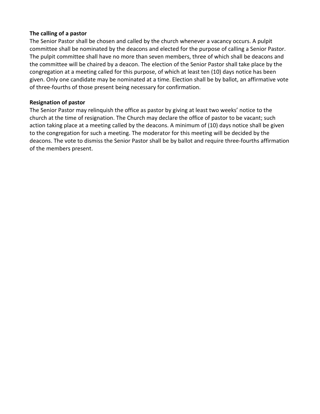#### **The calling of a pastor**

The Senior Pastor shall be chosen and called by the church whenever a vacancy occurs. A pulpit committee shall be nominated by the deacons and elected for the purpose of calling a Senior Pastor. The pulpit committee shall have no more than seven members, three of which shall be deacons and the committee will be chaired by a deacon. The election of the Senior Pastor shall take place by the congregation at a meeting called for this purpose, of which at least ten (10) days notice has been given. Only one candidate may be nominated at a time. Election shall be by ballot, an affirmative vote of three-fourths of those present being necessary for confirmation.

### **Resignation of pastor**

The Senior Pastor may relinquish the office as pastor by giving at least two weeks' notice to the church at the time of resignation. The Church may declare the office of pastor to be vacant; such action taking place at a meeting called by the deacons. A minimum of (10) days notice shall be given to the congregation for such a meeting. The moderator for this meeting will be decided by the deacons. The vote to dismiss the Senior Pastor shall be by ballot and require three-fourths affirmation of the members present.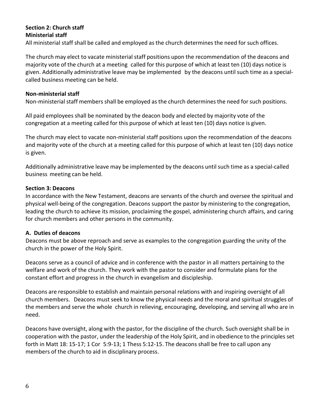# **Section 2: Church staff Ministerial staff**

All ministerial staff shall be called and employed as the church determines the need for such offices.

The church may elect to vacate ministerial staff positions upon the recommendation of the deacons and majority vote of the church at a meeting called for this purpose of which at least ten (10) days notice is given. Additionally administrative leave may be implemented by the deacons until such time as a specialcalled business meeting can be held.

### **Non-ministerial staff**

Non-ministerial staff members shall be employed as the church determines the need for such positions.

All paid employees shall be nominated by the deacon body and elected by majority vote of the congregation at a meeting called for this purpose of which at least ten (10) days notice is given.

The church may elect to vacate non-ministerial staff positions upon the recommendation of the deacons and majority vote of the church at a meeting called for this purpose of which at least ten (10) days notice is given.

Additionally administrative leave may be implemented by the deacons until such time as a special-called business meeting can be held.

#### **Section 3: Deacons**

In accordance with the New Testament, deacons are servants of the church and oversee the spiritual and physical well-being of the congregation. Deacons support the pastor by ministering to the congregation, leading the church to achieve its mission, proclaiming the gospel, administering church affairs, and caring for church members and other persons in the community.

## **A. Duties of deacons**

Deacons must be above reproach and serve as examples to the congregation guarding the unity of the church in the power of the Holy Spirit.

Deacons serve as a council of advice and in conference with the pastor in all matters pertaining to the welfare and work of the church. They work with the pastor to consider and formulate plans for the constant effort and progress in the church in evangelism and discipleship.

Deacons are responsible to establish and maintain personal relations with and inspiring oversight of all church members. Deacons must seek to know the physical needs and the moral and spiritual struggles of the members and serve the whole church in relieving, encouraging, developing, and serving all who are in need.

Deacons have oversight, along with the pastor, for the discipline of the church. Such oversight shall be in cooperation with the pastor, under the leadership of the Holy Spirit, and in obedience to the principles set forth in Matt 18: 15-17; 1 Cor 5:9-13; 1 Thess 5:12-15. The deacons shall be free to call upon any members of the church to aid in disciplinary process.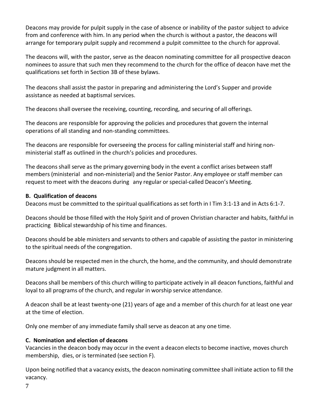Deacons may provide for pulpit supply in the case of absence or inability of the pastor subject to advice from and conference with him. In any period when the church is without a pastor, the deacons will arrange for temporary pulpit supply and recommend a pulpit committee to the church for approval.

The deacons will, with the pastor, serve as the deacon nominating committee for all prospective deacon nominees to assure that such men they recommend to the church for the office of deacon have met the qualifications set forth in Section 3B of these bylaws.

The deacons shall assist the pastor in preparing and administering the Lord's Supper and provide assistance as needed at baptismal services.

The deacons shall oversee the receiving, counting, recording, and securing of all offerings.

The deacons are responsible for approving the policies and procedures that govern the internal operations of all standing and non-standing committees.

The deacons are responsible for overseeing the process for calling ministerial staff and hiring nonministerial staff as outlined in the church's policies and procedures.

The deacons shall serve as the primary governing body in the event a conflict arises between staff members (ministerial and non-ministerial) and the Senior Pastor. Any employee or staff member can request to meet with the deacons during any regular orspecial-called Deacon's Meeting.

## **B. Qualification of deacons**

Deacons must be committed to the spiritual qualifications as set forth in I Tim 3:1-13 and in Acts 6:1-7.

Deacons should be those filled with the Holy Spirit and of proven Christian character and habits, faithful in practicing Biblical stewardship of histime and finances.

Deacons should be able ministers and servants to others and capable of assisting the pastor in ministering to the spiritual needs of the congregation.

Deacons should be respected men in the church, the home, and the community, and should demonstrate mature judgment in all matters.

Deacons shall be members of this church willing to participate actively in all deacon functions, faithful and loyal to all programs of the church, and regular in worship service attendance.

A deacon shall be at least twenty-one (21) years of age and a member of this church for at least one year at the time of election.

Only one member of any immediate family shall serve as deacon at any one time.

# **C. Nomination and election of deacons**

Vacancies in the deacon body may occur in the event a deacon elects to become inactive, moves church membership, dies, or is terminated (see section F).

Upon being notified that a vacancy exists, the deacon nominating committee shall initiate action to fill the vacancy.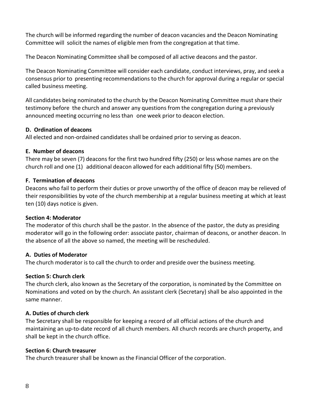The church will be informed regarding the number of deacon vacancies and the Deacon Nominating Committee will solicit the names of eligible men from the congregation at that time.

The Deacon Nominating Committee shall be composed of all active deacons and the pastor.

The Deacon Nominating Committee will consider each candidate, conduct interviews, pray, and seek a consensus prior to presenting recommendations to the church for approval during a regular or special called business meeting.

All candidates being nominated to the church by the Deacon Nominating Committee must share their testimony before the church and answer any questions from the congregation during a previously announced meeting occurring no lessthan one week prior to deacon election.

## **D. Ordination of deacons**

All elected and non-ordained candidates shall be ordained prior to serving as deacon.

# **E. Number of deacons**

There may be seven (7) deacons for the first two hundred fifty (250) or less whose names are on the church roll and one (1) additional deacon allowed for each additional fifty (50) members.

# **F. Termination of deacons**

Deacons who fail to perform their duties or prove unworthy of the office of deacon may be relieved of their responsibilities by vote of the church membership at a regular business meeting at which at least ten (10) days notice is given.

## **Section 4: Moderator**

The moderator of this church shall be the pastor. In the absence of the pastor, the duty as presiding moderator will go in the following order: associate pastor, chairman of deacons, or another deacon. In the absence of all the above so named, the meeting will be rescheduled.

# **A. Duties of Moderator**

The church moderator is to call the church to order and preside over the business meeting.

# **Section 5: Church clerk**

The church clerk, also known as the Secretary of the corporation, is nominated by the Committee on Nominations and voted on by the church. An assistant clerk (Secretary) shall be also appointed in the same manner.

# **A. Duties of church clerk**

The Secretary shall be responsible for keeping a record of all official actions of the church and maintaining an up-to-date record of all church members. All church records are church property, and shall be kept in the church office.

# **Section 6: Church treasurer**

The church treasurer shall be known asthe Financial Officer of the corporation.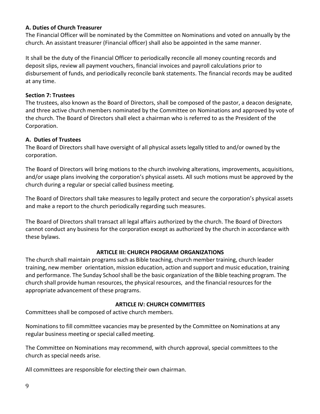### **A. Duties of Church Treasurer**

The Financial Officer will be nominated by the Committee on Nominations and voted on annually by the church. An assistant treasurer (Financial officer) shall also be appointed in the same manner.

It shall be the duty of the Financial Officer to periodically reconcile all money counting records and deposit slips, review all payment vouchers, financial invoices and payroll calculations prior to disbursement of funds, and periodically reconcile bank statements. The financial records may be audited at any time.

### **Section 7: Trustees**

The trustees, also known as the Board of Directors, shall be composed of the pastor, a deacon designate, and three active church members nominated by the Committee on Nominations and approved by vote of the church. The Board of Directors shall elect a chairman who is referred to as the President of the Corporation.

### **A. Duties of Trustees**

The Board of Directors shall have oversight of all physical assets legally titled to and/or owned by the corporation.

The Board of Directors will bring motions to the church involving alterations, improvements, acquisitions, and/or usage plans involving the corporation's physical assets. All such motions must be approved by the church during a regular or special called business meeting.

The Board of Directors shall take measures to legally protect and secure the corporation's physical assets and make a report to the church periodically regarding such measures.

The Board of Directors shall transact all legal affairs authorized by the church. The Board of Directors cannot conduct any business for the corporation except as authorized by the church in accordance with these bylaws.

## **ARTICLE III: CHURCH PROGRAM ORGANIZATIONS**

The church shall maintain programs such as Bible teaching, church member training, church leader training, new member orientation, mission education, action and support and music education, training and performance. The Sunday School shall be the basic organization of the Bible teaching program. The church shall provide human resources, the physical resources, and the financial resourcesfor the appropriate advancement of these programs.

## **ARTICLE IV: CHURCH COMMITTEES**

Committees shall be composed of active church members.

Nominations to fill committee vacancies may be presented by the Committee on Nominations at any regular business meeting or special called meeting.

The Committee on Nominations may recommend, with church approval, special committees to the church as special needs arise.

All committees are responsible for electing their own chairman.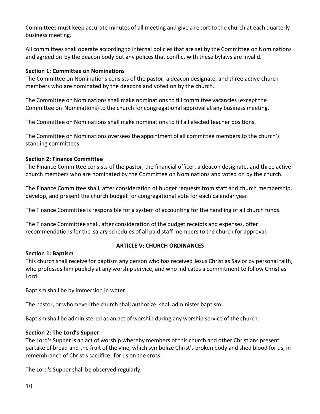Committees must keep accurate minutes of all meeting and give a report to the church at each quarterly business meeting.

All committees shall operate according to internal policiesthat are set by the Committee on Nominations and agreed on by the deacon body but any polices that conflict with these bylaws are invalid.

## **Section 1: Committee on Nominations**

The Committee on Nominations consists of the pastor, a deacon designate, and three active church members who are nominated by the deacons and voted on by the church.

The Committee on Nominations shall make nominations to fill committee vacancies (except the Committee on Nominations) to the church for congregational approval at any business meeting.

The Committee on Nominations shall make nominations to fill all elected teacher positions.

The Committee on Nominations oversees the appointment of all committee members to the church's standing committees.

# **Section 2: Finance Committee**

The Finance Committee consists of the pastor, the financial officer, a deacon designate, and three active church members who are nominated by the Committee on Nominations and voted on by the church.

The Finance Committee shall, after consideration of budget requests from staff and church membership, develop, and present the church budget for congregational vote for each calendar year.

The Finance Committee is responsible for a system of accounting for the handling of all church funds.

The Finance Committee shall, after consideration of the budget receipts and expenses, offer recommendations for the salary schedules of all paid staff members to the church for approval.

## **Section 1: Baptism**

# **ARTICLE V: CHURCH ORDINANCES**

This church shall receive for baptism any person who has received Jesus Christ as Savior by personal faith, who professes him publicly at any worship service, and who indicates a commitment to follow Christ as Lord.

Baptism shall be by immersion in water.

The pastor, or whomever the church shall authorize, shall administer baptism.

Baptism shall be administered as an act of worship during any worship service of the church.

# **Section 2: The Lord's Supper**

The Lord's Supper is an act of worship whereby members of this church and other Christians present partake of bread and the fruit of the vine, which symbolize Christ's broken body and shed blood for us, in remembrance of Christ's sacrifice for us on the cross.

The Lord's Supper shall be observed regularly.